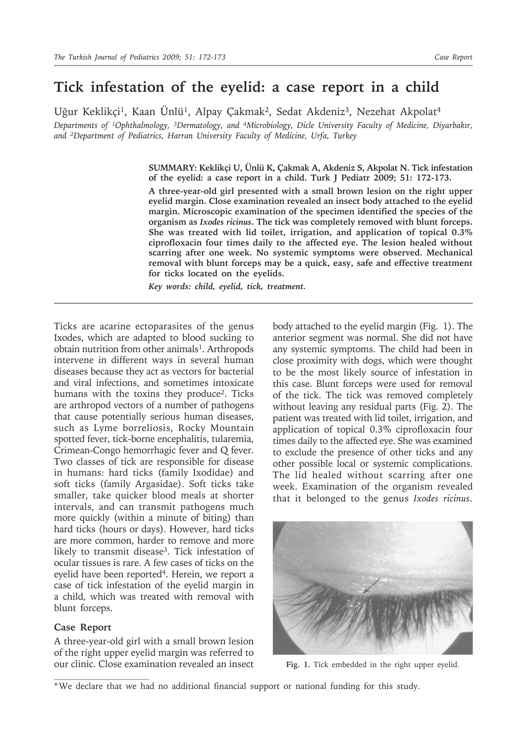## **Tick infestation of the eyelid: a case report in a child**

Uğur Keklikçi<sup>1</sup>, Kaan Ünlü<sup>1</sup>, Alpay Çakmak<sup>2</sup>, Sedat Akdeniz<sup>3</sup>, Nezehat Akpolat<sup>4</sup> *Departments of 1Ophthalmology, 3Dermatology, and 4Microbiology, Dicle University Faculty of Medicine, Diyarbakır, and 2Department of Pediatrics, Harran University Faculty of Medicine, Urfa, Turkey*

> **SUMMARY: Keklikçi U, Ünlü K, Çakmak A, Akdeniz S, Akpolat N. Tick infestation of the eyelid: a case report in a child. Turk J Pediatr 2009; 51: 172-173.**

> **A three-year-old girl presented with a small brown lesion on the right upper eyelid margin. Close examination revealed an insect body attached to the eyelid margin. Microscopic examination of the specimen identified the species of the organism as** *Ixodes ricinus***. The tick was completely removed with blunt forceps. She was treated with lid toilet, irrigation, and application of topical 0.3% ciprofloxacin four times daily to the affected eye. The lesion healed without scarring after one week. No systemic symptoms were observed. Mechanical removal with blunt forceps may be a quick, easy, safe and effective treatment for ticks located on the eyelids.**

*Key words: child, eyelid, tick, treatment.*

Ticks are acarine ectoparasites of the genus Ixodes, which are adapted to blood sucking to obtain nutrition from other animals<sup>1</sup>. Arthropods intervene in different ways in several human diseases because they act as vectors for bacterial and viral infections, and sometimes intoxicate humans with the toxins they produce<sup>2</sup>. Ticks are arthropod vectors of a number of pathogens that cause potentially serious human diseases, such as Lyme borreliosis, Rocky Mountain spotted fever, tick-borne encephalitis, tularemia, Crimean-Congo hemorrhagic fever and Q fever. Two classes of tick are responsible for disease in humans: hard ticks (family Ixodidae) and soft ticks (family Argasidae). Soft ticks take smaller, take quicker blood meals at shorter intervals, and can transmit pathogens much more quickly (within a minute of biting) than hard ticks (hours or days). However, hard ticks are more common, harder to remove and more likely to transmit disease<sup>3</sup>. Tick infestation of ocular tissues is rare. A few cases of ticks on the eyelid have been reported<sup>4</sup>. Herein, we report a case of tick infestation of the eyelid margin in a child, which was treated with removal with blunt forceps.

## **Case Report**

A three-year-old girl with a small brown lesion of the right upper eyelid margin was referred to our clinic. Close examination revealed an insect

body attached to the eyelid margin (Fig. 1). The anterior segment was normal. She did not have any systemic symptoms. The child had been in close proximity with dogs, which were thought to be the most likely source of infestation in this case. Blunt forceps were used for removal of the tick. The tick was removed completely without leaving any residual parts (Fig. 2). The patient was treated with lid toilet, irrigation, and application of topical 0.3% ciprofloxacin four times daily to the affected eye. She was examined to exclude the presence of other ticks and any other possible local or systemic complications. The lid healed without scarring after one week. Examination of the organism revealed that it belonged to the genus *Ixodes ricinus*.



**Fig. 1.** Tick embedded in the right upper eyelid.

<sup>\*</sup> We declare that we had no additional financial support or national funding for this study.